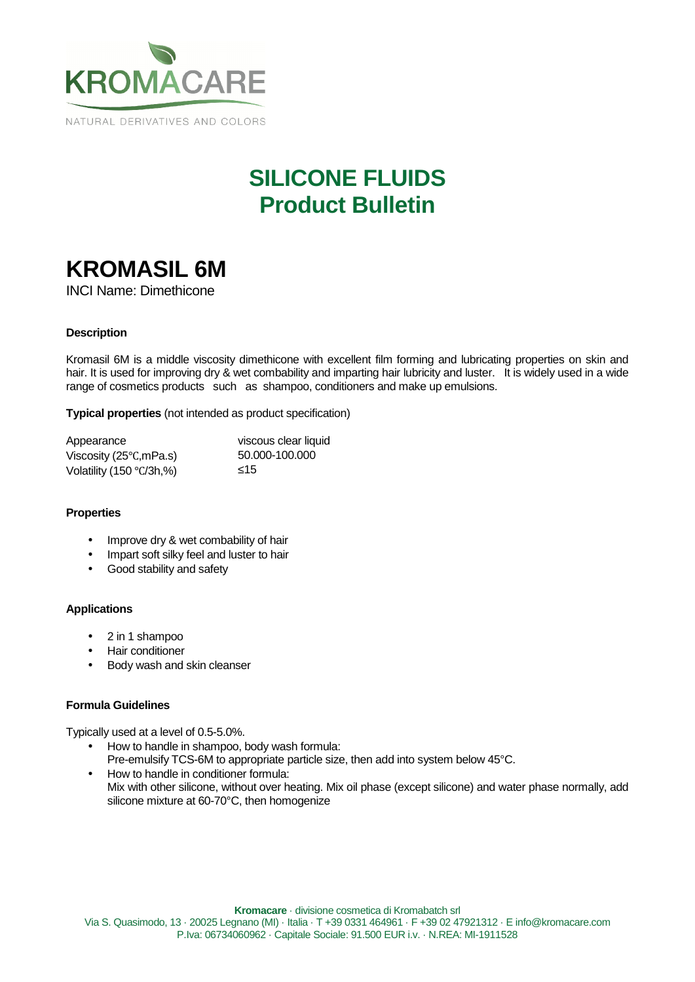

## **SILICONE FLUIDS Product Bulletin**

# **KROMASIL 6M**

INCI Name: Dimethicone

## **Description**

Kromasil 6M is a middle viscosity dimethicone with excellent film forming and lubricating properties on skin and hair. It is used for improving dry & wet combability and imparting hair lubricity and luster. It is widely used in a wide range of cosmetics products such as shampoo, conditioners and make up emulsions.

**Typical properties** (not intended as product specification)

| Appearance                         | viscous clear liquid |
|------------------------------------|----------------------|
| Viscosity ( $25^{\circ}$ C, mPa.s) | 50.000-100.000       |
| Volatility (150 $\degree$ C/3h,%)  | 15                   |

#### **Properties**

- Improve dry & wet combability of hair
- Impart soft silky feel and luster to hair
- Good stability and safety

## **Applications**

- 2 in 1 shampoo
- Hair conditioner
- Body wash and skin cleanser

## **Formula Guidelines**

Typically used at a level of 0.5-5.0%.

- How to handle in shampoo, body wash formula: Pre-emulsify TCS-6M to appropriate particle size, then add into system below 45°C.
- How to handle in conditioner formula: Mix with other silicone, without over heating. Mix oil phase (except silicone) and water phase normally, add silicone mixture at 60-70°C, then homogenize